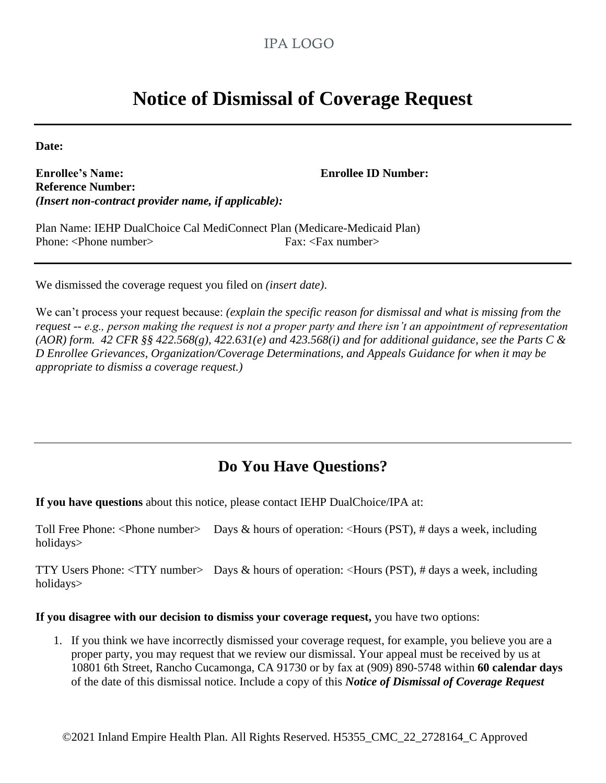## IPA LOGO

## **Notice of Dismissal of Coverage Request**

**Date:**

**Enrollee's Name: Enrollee ID Number: Reference Number:** *(Insert non-contract provider name, if applicable):*

Plan Name: IEHP DualChoice Cal MediConnect Plan (Medicare-Medicaid Plan) Phone: <Phone number> Fax: <Fax number>

We dismissed the coverage request you filed on *(insert date)*.

We can't process your request because: *(explain the specific reason for dismissal and what is missing from the request -- e.g., person making the request is not a proper party and there isn't an appointment of representation (AOR) form. 42 CFR §§ 422.568(g), 422.631(e) and 423.568(i) and for additional guidance, see the Parts C & D Enrollee Grievances, Organization/Coverage Determinations, and Appeals Guidance for when it may be appropriate to dismiss a coverage request.)*

## **Do You Have Questions?**

**If you have questions** about this notice, please contact IEHP DualChoice/IPA at:

Toll Free Phone: <Phone number> Days & hours of operation: <Hours (PST), # days a week, including holidays>

TTY Users Phone: <TTY number> Days & hours of operation: <Hours (PST), # days a week, including holidays>

**If you disagree with our decision to dismiss your coverage request,** you have two options:

1. If you think we have incorrectly dismissed your coverage request, for example, you believe you are a proper party, you may request that we review our dismissal. Your appeal must be received by us at 10801 6th Street, Rancho Cucamonga, CA 91730 or by fax at (909) 890-5748 within **60 calendar days**  of the date of this dismissal notice. Include a copy of this *Notice of Dismissal of Coverage Request*